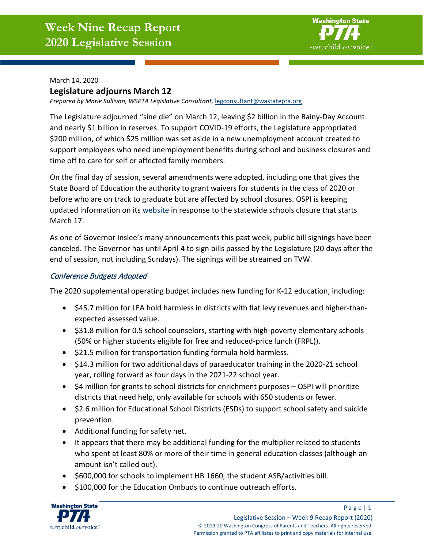

March 14, 2020

## **Legislature adjourns March 12**

*Prepared by Marie Sullivan, WSPTA Legislative Consultant,* [legconsultant@wastatepta.org](mailto:legconsultant@wastatepta.org)

The Legislature adjourned "sine die" on March 12, leaving \$2 billion in the Rainy-Day Account and nearly \$1 billion in reserves. To support COVID-19 efforts, the Legislature appropriated \$200 million, of which \$25 million was set aside in a new unemployment account created to support employees who need unemployment benefits during school and business closures and time off to care for self or affected family members.

On the final day of session, several amendments were adopted, including one that gives the State Board of Education the authority to grant waivers for students in the class of 2020 or before who are on track to graduate but are affected by school closures. OSPI is keeping updated information on its [website](https://www.k12.wa.us/about-ospi/press-releases/novel-coronavirus-covid-19-guidance-resources) in response to the statewide schools closure that starts March 17.

As one of Governor Inslee's many announcements this past week, public bill signings have been canceled. The Governor has until April 4 to sign bills passed by the Legislature (20 days after the end of session, not including Sundays). The signings will be streamed on TVW.

## Conference Budgets Adopted

The 2020 supplemental operating budget includes new funding for K-12 education, including:

- \$45.7 million for LEA hold harmless in districts with flat levy revenues and higher-thanexpected assessed value.
- \$31.8 million for 0.5 school counselors, starting with high-poverty elementary schools (50% or higher students eligible for free and reduced-price lunch (FRPL)).
- \$21.5 million for transportation funding formula hold harmless.
- \$14.3 million for two additional days of paraeducator training in the 2020-21 school year, rolling forward as four days in the 2021-22 school year.
- \$4 million for grants to school districts for enrichment purposes OSPI will prioritize districts that need help, only available for schools with 650 students or fewer.
- \$2.6 million for Educational School Districts (ESDs) to support school safety and suicide prevention.
- Additional funding for safety net.
- It appears that there may be additional funding for the multiplier related to students who spent at least 80% or more of their time in general education classes (although an amount isn't called out).
- \$600,000 for schools to implement HB 1660, the student ASB/activities bill.
- \$100,000 for the Education Ombuds to continue outreach efforts.

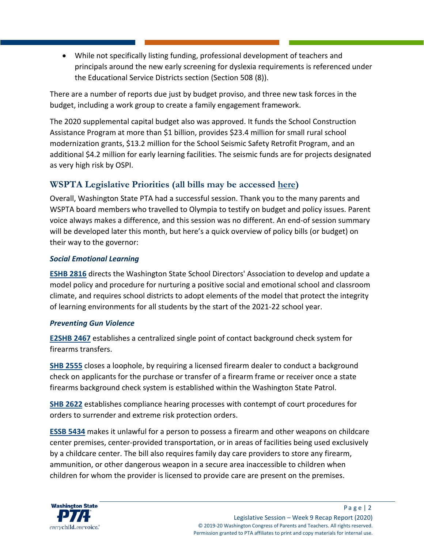• While not specifically listing funding, professional development of teachers and principals around the new early screening for dyslexia requirements is referenced under the Educational Service Districts section (Section 508 (8)).

There are a number of reports due just by budget proviso, and three new task forces in the budget, including a work group to create a family engagement framework.

The 2020 supplemental capital budget also was approved. It funds the School Construction Assistance Program at more than \$1 billion, provides \$23.4 million for small rural school modernization grants, \$13.2 million for the School Seismic Safety Retrofit Program, and an additional \$4.2 million for early learning facilities. The seismic funds are for projects designated as very high risk by OSPI.

# **WSPTA Legislative Priorities (all bills may be accessed [here\)](https://app.leg.wa.gov/billinfo/)**

Overall, Washington State PTA had a successful session. Thank you to the many parents and WSPTA board members who travelled to Olympia to testify on budget and policy issues. Parent voice always makes a difference, and this session was no different. An end-of session summary will be developed later this month, but here's a quick overview of policy bills (or budget) on their way to the governor:

## *Social Emotional Learning*

**[ESHB 2816](https://app.leg.wa.gov/billsummary?BillNumber=2816&Initiative=false&Year=2019)** directs the Washington State School Directors' Association to develop and update a model policy and procedure for nurturing a positive social and emotional school and classroom climate, and requires school districts to adopt elements of the model that protect the integrity of learning environments for all students by the start of the 2021-22 school year.

## *Preventing Gun Violence*

**[E2SHB 2467](https://app.leg.wa.gov/billsummary?BillNumber=2467&Initiative=false&Year=2019)** establishes a centralized single point of contact background check system for firearms transfers.

**[SHB 2555](https://app.leg.wa.gov/billsummary?BillNumber=2555&Initiative=false&Year=2019)** closes a loophole, by requiring a licensed firearm dealer to conduct a background check on applicants for the purchase or transfer of a firearm frame or receiver once a state firearms background check system is established within the Washington State Patrol.

**[SHB 2622](https://app.leg.wa.gov/billsummary?BillNumber=2622&Initiative=false&Year=2019)** establishes compliance hearing processes with contempt of court procedures for orders to surrender and extreme risk protection orders.

**[ESSB 5434](https://app.leg.wa.gov/billsummary?BillNumber=5434&Initiative=false&Year=2019)** makes it unlawful for a person to possess a firearm and other weapons on childcare center premises, center-provided transportation, or in areas of facilities being used exclusively by a childcare center. The bill also requires family day care providers to store any firearm, ammunition, or other dangerous weapon in a secure area inaccessible to children when children for whom the provider is licensed to provide care are present on the premises.

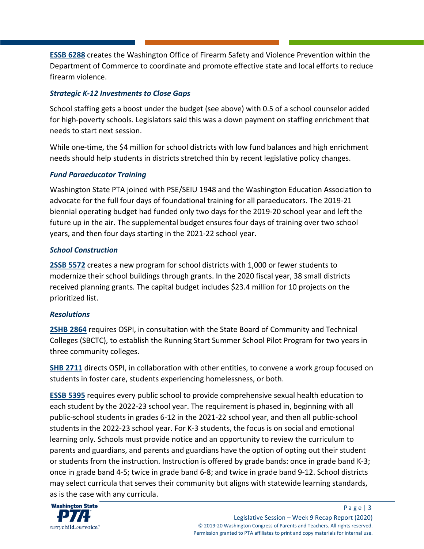**[ESSB 6288](https://app.leg.wa.gov/billsummary?BillNumber=6288&Initiative=false&Year=2019)** creates the Washington Office of Firearm Safety and Violence Prevention within the Department of Commerce to coordinate and promote effective state and local efforts to reduce firearm violence.

# *Strategic K-12 Investments to Close Gaps*

School staffing gets a boost under the budget (see above) with 0.5 of a school counselor added for high-poverty schools. Legislators said this was a down payment on staffing enrichment that needs to start next session.

While one-time, the \$4 million for school districts with low fund balances and high enrichment needs should help students in districts stretched thin by recent legislative policy changes.

# *Fund Paraeducator Training*

Washington State PTA joined with PSE/SEIU 1948 and the Washington Education Association to advocate for the full four days of foundational training for all paraeducators. The 2019-21 biennial operating budget had funded only two days for the 2019-20 school year and left the future up in the air. The supplemental budget ensures four days of training over two school years, and then four days starting in the 2021-22 school year.

# *School Construction*

**[2SSB 5572](https://app.leg.wa.gov/billsummary?BillNumber=5572&Initiative=false&Year=2019)** creates a new program for school districts with 1,000 or fewer students to modernize their school buildings through grants. In the 2020 fiscal year, 38 small districts received planning grants. The capital budget includes \$23.4 million for 10 projects on the prioritized list.

## *Resolutions*

**[2SHB 2864](https://app.leg.wa.gov/billsummary?BillNumber=2864&Initiative=false&Year=2019)** requires OSPI, in consultation with the State Board of Community and Technical Colleges (SBCTC), to establish the Running Start Summer School Pilot Program for two years in three community colleges.

**[SHB 2711](https://app.leg.wa.gov/billsummary?BillNumber=2711&Initiative=false&Year=2019)** directs OSPI, in collaboration with other entities, to convene a work group focused on students in foster care, students experiencing homelessness, or both.

**[ESSB 5395](https://app.leg.wa.gov/billsummary?BillNumber=5395&Initiative=false&Year=2019)** requires every public school to provide comprehensive sexual health education to each student by the 2022-23 school year. The requirement is phased in, beginning with all public-school students in grades 6-12 in the 2021-22 school year, and then all public-school students in the 2022-23 school year. For K-3 students, the focus is on social and emotional learning only. Schools must provide notice and an opportunity to review the curriculum to parents and guardians, and parents and guardians have the option of opting out their student or students from the instruction. Instruction is offered by grade bands: once in grade band K-3; once in grade band 4-5; twice in grade band 6-8; and twice in grade band 9-12. School districts may select curricula that serves their community but aligns with statewide learning standards, as is the case with any curricula.